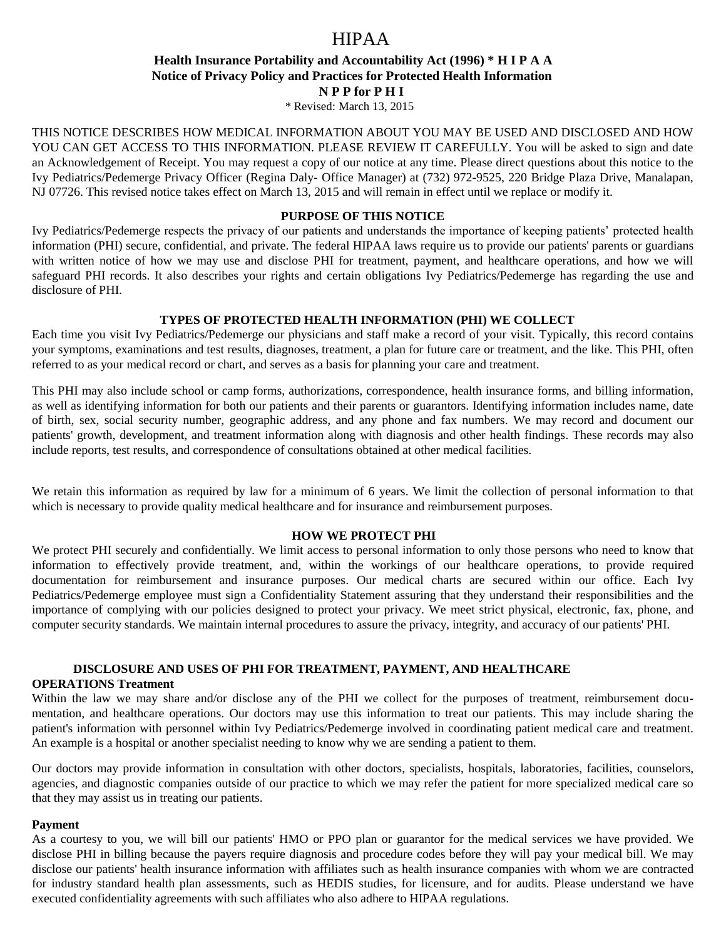# $HPA$  ,

## **Health Insurance Portability and Accountability Act (1996) \* H I P A A Notice of Privacy Policy and Practices for Protected Health Information N P P for P H I**

\* Revised: March 13, 2015

THIS NOTICE DESCRIBES HOW MEDICAL INFORMATION ABOUT YOU MAY BE USED AND DISCLOSED AND HOW YOU CAN GET ACCESS TO THIS INFORMATION. PLEASE REVIEW IT CAREFULLY. You will be asked to sign and date an Acknowledgement of Receipt. You may request a copy of our notice at any time. Please direct questions about this notice to the Ivy Pediatrics/Pedemerge Privacy Officer (Regina Daly- Office Manager) at (732) 972-9525, 220 Bridge Plaza Drive, Manalapan, NJ 07726. This revised notice takes effect on March 13, 2015 and will remain in effect until we replace or modify it.

## **PURPOSE OF THIS NOTICE**

Ivy Pediatrics/Pedemerge respects the privacy of our patients and understands the importance of keeping patients' protected health information (PHI) secure, confidential, and private. The federal HIPAA laws require us to provide our patients' parents or guardians with written notice of how we may use and disclose PHI for treatment, payment, and healthcare operations, and how we will safeguard PHI records. It also describes your rights and certain obligations Ivy Pediatrics/Pedemerge has regarding the use and disclosure of PHI.

## **TYPES OF PROTECTED HEALTH INFORMATION (PHI) WE COLLECT**

Each time you visit Ivy Pediatrics/Pedemerge our physicians and staff make a record of your visit. Typically, this record contains your symptoms, examinations and test results, diagnoses, treatment, a plan for future care or treatment, and the like. This PHI, often referred to as your medical record or chart, and serves as a basis for planning your care and treatment.

This PHI may also include school or camp forms, authorizations, correspondence, health insurance forms, and billing information, as well as identifying information for both our patients and their parents or guarantors. Identifying information includes name, date of birth, sex, social security number, geographic address, and any phone and fax numbers. We may record and document our patients' growth, development, and treatment information along with diagnosis and other health findings. These records may also include reports, test results, and correspondence of consultations obtained at other medical facilities.

We retain this information as required by law for a minimum of 6 years. We limit the collection of personal information to that which is necessary to provide quality medical healthcare and for insurance and reimbursement purposes.

## **HOW WE PROTECT PHI**

We protect PHI securely and confidentially. We limit access to personal information to only those persons who need to know that information to effectively provide treatment, and, within the workings of our healthcare operations, to provide required documentation for reimbursement and insurance purposes. Our medical charts are secured within our office. Each Ivy Pediatrics/Pedemerge employee must sign a Confidentiality Statement assuring that they understand their responsibilities and the importance of complying with our policies designed to protect your privacy. We meet strict physical, electronic, fax, phone, and computer security standards. We maintain internal procedures to assure the privacy, integrity, and accuracy of our patients' PHI.

## **DISCLOSURE AND USES OF PHI FOR TREATMENT, PAYMENT, AND HEALTHCARE**

## **OPERATIONS Treatment**

Within the law we may share and/or disclose any of the PHI we collect for the purposes of treatment, reimbursement documentation, and healthcare operations. Our doctors may use this information to treat our patients. This may include sharing the patient's information with personnel within Ivy Pediatrics/Pedemerge involved in coordinating patient medical care and treatment. An example is a hospital or another specialist needing to know why we are sending a patient to them.

Our doctors may provide information in consultation with other doctors, specialists, hospitals, laboratories, facilities, counselors, agencies, and diagnostic companies outside of our practice to which we may refer the patient for more specialized medical care so that they may assist us in treating our patients.

#### **Payment**

As a courtesy to you, we will bill our patients' HMO or PPO plan or guarantor for the medical services we have provided. We disclose PHI in billing because the payers require diagnosis and procedure codes before they will pay your medical bill. We may disclose our patients' health insurance information with affiliates such as health insurance companies with whom we are contracted for industry standard health plan assessments, such as HEDIS studies, for licensure, and for audits. Please understand we have executed confidentiality agreements with such affiliates who also adhere to HIPAA regulations.